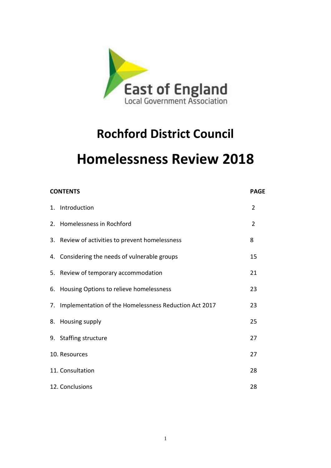

# **Rochford District Council**

# **Homelessness Review 2018**

| <b>CONTENTS</b>                                          | <b>PAGE</b>    |
|----------------------------------------------------------|----------------|
| 1. Introduction                                          | $\overline{2}$ |
| 2. Homelessness in Rochford                              | $\overline{2}$ |
| 3. Review of activities to prevent homelessness          | 8              |
| 4. Considering the needs of vulnerable groups            | 15             |
| 5. Review of temporary accommodation                     | 21             |
| 6. Housing Options to relieve homelessness               | 23             |
| 7. Implementation of the Homelessness Reduction Act 2017 | 23             |
| 8. Housing supply                                        | 25             |
| 9. Staffing structure                                    | 27             |
| 10. Resources                                            | 27             |
| 11. Consultation                                         | 28             |
| 12. Conclusions                                          | 28             |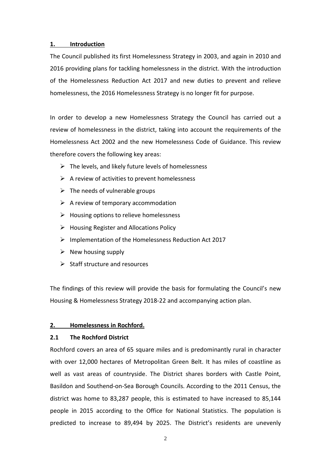# **1. Introduction**

The Council published its first Homelessness Strategy in 2003, and again in 2010 and 2016 providing plans for tackling homelessness in the district. With the introduction of the Homelessness Reduction Act 2017 and new duties to prevent and relieve homelessness, the 2016 Homelessness Strategy is no longer fit for purpose.

In order to develop a new Homelessness Strategy the Council has carried out a review of homelessness in the district, taking into account the requirements of the Homelessness Act 2002 and the new Homelessness Code of Guidance. This review therefore covers the following key areas:

- $\triangleright$  The levels, and likely future levels of homelessness
- $\triangleright$  A review of activities to prevent homelessness
- $\triangleright$  The needs of vulnerable groups
- $\triangleright$  A review of temporary accommodation
- ➢ Housing options to relieve homelessness
- ➢ Housing Register and Allocations Policy
- ➢ Implementation of the Homelessness Reduction Act 2017
- $\triangleright$  New housing supply
- $\triangleright$  Staff structure and resources

The findings of this review will provide the basis for formulating the Council's new Housing & Homelessness Strategy 2018-22 and accompanying action plan.

# **2. Homelessness in Rochford.**

# **2.1 The Rochford District**

Rochford covers an area of 65 square miles and is predominantly rural in character with over 12,000 hectares of Metropolitan Green Belt. It has miles of coastline as well as vast areas of countryside. The District shares borders with Castle Point, Basildon and Southend-on-Sea Borough Councils. According to the 2011 Census, the district was home to 83,287 people, this is estimated to have increased to 85,144 people in 2015 according to the Office for National Statistics. The population is predicted to increase to 89,494 by 2025. The District's residents are unevenly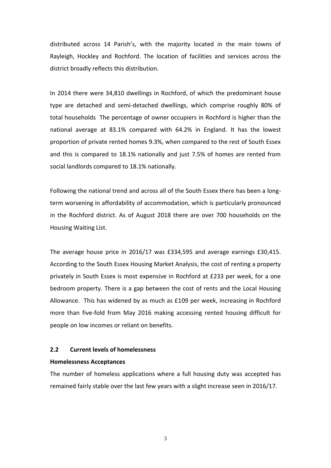distributed across 14 Parish's, with the majority located in the main towns of Rayleigh, Hockley and Rochford. The location of facilities and services across the district broadly reflects this distribution.

In 2014 there were 34,810 dwellings in Rochford, of which the predominant house type are detached and semi-detached dwellings, which comprise roughly 80% of total households The percentage of owner occupiers in Rochford is higher than the national average at 83.1% compared with 64.2% in England. It has the lowest proportion of private rented homes 9.3%, when compared to the rest of South Essex and this is compared to 18.1% nationally and just 7.5% of homes are rented from social landlords compared to 18.1% nationally.

Following the national trend and across all of the South Essex there has been a longterm worsening in affordability of accommodation, which is particularly pronounced in the Rochford district. As of August 2018 there are over 700 households on the Housing Waiting List.

The average house price in 2016/17 was £334,595 and average earnings £30,415. According to the South Essex Housing Market Analysis, the cost of renting a property privately in South Essex is most expensive in Rochford at £233 per week, for a one bedroom property. There is a gap between the cost of rents and the Local Housing Allowance. This has widened by as much as £109 per week, increasing in Rochford more than five-fold from May 2016 making accessing rented housing difficult for people on low incomes or reliant on benefits.

## **2.2 Current levels of homelessness**

#### **Homelessness Acceptances**

The number of homeless applications where a full housing duty was accepted has remained fairly stable over the last few years with a slight increase seen in 2016/17.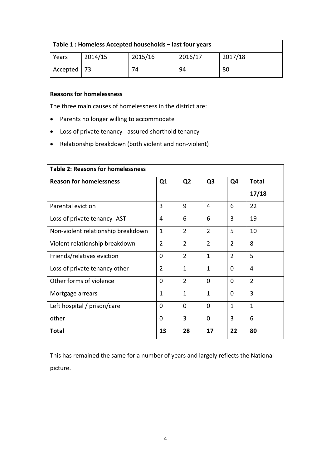| Table 1: Homeless Accepted households - last four years |         |         |         |         |  |  |
|---------------------------------------------------------|---------|---------|---------|---------|--|--|
| Years                                                   | 2014/15 | 2015/16 | 2016/17 | 2017/18 |  |  |
| Accepted   73                                           |         | 74      | 94      | 80      |  |  |

# **Reasons for homelessness**

The three main causes of homelessness in the district are:

- Parents no longer willing to accommodate
- Loss of private tenancy assured shorthold tenancy
- Relationship breakdown (both violent and non-violent)

| <b>Table 2: Reasons for homelessness</b> |                |                |                |                |                |  |  |
|------------------------------------------|----------------|----------------|----------------|----------------|----------------|--|--|
| <b>Reason for homelessness</b>           | Q <sub>1</sub> | Q <sub>2</sub> | Q <sub>3</sub> | Q4             | <b>Total</b>   |  |  |
|                                          |                |                |                |                | 17/18          |  |  |
| Parental eviction                        | 3              | 9              | 4              | 6              | 22             |  |  |
| Loss of private tenancy -AST             | 4              | 6              | 6              | 3              | 19             |  |  |
| Non-violent relationship breakdown       | $\mathbf{1}$   | $\overline{2}$ | $\overline{2}$ | 5              | 10             |  |  |
| Violent relationship breakdown           | $\overline{2}$ | $\overline{2}$ | $\overline{2}$ | $\overline{2}$ | 8              |  |  |
| Friends/relatives eviction               | $\overline{0}$ | $\overline{2}$ | $\mathbf{1}$   | $\overline{2}$ | 5              |  |  |
| Loss of private tenancy other            | $\overline{2}$ | $\mathbf{1}$   | $\mathbf{1}$   | 0              | 4              |  |  |
| Other forms of violence                  | $\Omega$       | $\overline{2}$ | $\Omega$       | $\Omega$       | $\overline{2}$ |  |  |
| Mortgage arrears                         | $\mathbf{1}$   | $\mathbf{1}$   | $\mathbf{1}$   | 0              | 3              |  |  |
| Left hospital / prison/care              | $\Omega$       | $\Omega$       | $\Omega$       | $\mathbf{1}$   | $\mathbf{1}$   |  |  |
| other                                    | $\mathbf 0$    | 3              | $\Omega$       | 3              | 6              |  |  |
| <b>Total</b>                             | 13             | 28             | 17             | 22             | 80             |  |  |

This has remained the same for a number of years and largely reflects the National picture.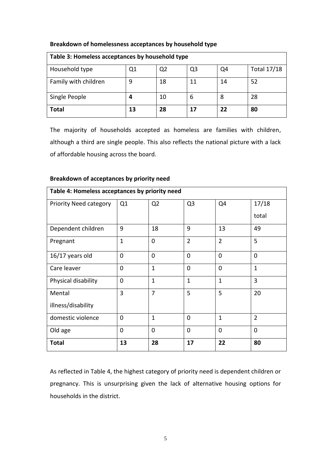| Table 3: Homeless acceptances by household type |    |                |    |    |                    |  |
|-------------------------------------------------|----|----------------|----|----|--------------------|--|
| Household type                                  | Q1 | Q <sub>2</sub> | Q3 | Q4 | <b>Total 17/18</b> |  |
| Family with children                            | 9  | 18             | 11 | 14 | 52                 |  |
| Single People                                   |    | 10             | b  | 8  | 28                 |  |
| <b>Total</b>                                    | 13 | 28             | 17 | 22 | 80                 |  |

# **Breakdown of homelessness acceptances by household type**

The majority of households accepted as homeless are families with children, although a third are single people. This also reflects the national picture with a lack of affordable housing across the board.

# **Breakdown of acceptances by priority need**

| Table 4: Homeless acceptances by priority need |              |                |                |                |                |  |  |
|------------------------------------------------|--------------|----------------|----------------|----------------|----------------|--|--|
| <b>Priority Need category</b>                  | Q1           | Q <sub>2</sub> | Q <sub>3</sub> | Q4             | 17/18          |  |  |
|                                                |              |                |                |                | total          |  |  |
| Dependent children                             | 9            | 18             | 9              | 13             | 49             |  |  |
| Pregnant                                       | $\mathbf{1}$ | 0              | $\overline{2}$ | $\overline{2}$ | 5              |  |  |
| 16/17 years old                                | $\mathbf 0$  | 0              | 0              | $\Omega$       | $\Omega$       |  |  |
| Care leaver                                    | $\mathbf 0$  | $\mathbf{1}$   | $\Omega$       | $\Omega$       | $\mathbf{1}$   |  |  |
| Physical disability                            | $\mathbf 0$  | $\mathbf{1}$   | $\mathbf{1}$   | $\mathbf{1}$   | 3              |  |  |
| Mental                                         | 3            | $\overline{7}$ | 5              | 5              | 20             |  |  |
| illness/disability                             |              |                |                |                |                |  |  |
| domestic violence                              | 0            | $\mathbf{1}$   | $\mathbf 0$    | $\mathbf{1}$   | $\overline{2}$ |  |  |
| Old age                                        | $\mathbf 0$  | 0              | 0              | $\Omega$       | $\Omega$       |  |  |
| <b>Total</b>                                   | 13           | 28             | 17             | 22             | 80             |  |  |

As reflected in Table 4, the highest category of priority need is dependent children or pregnancy. This is unsurprising given the lack of alternative housing options for households in the district.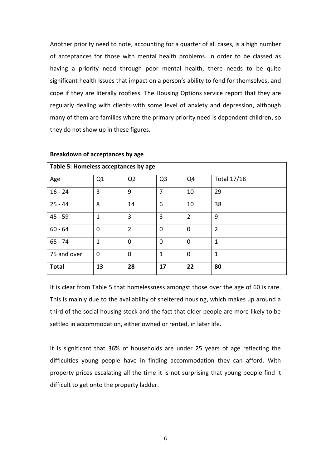Another priority need to note, accounting for a quarter of all cases, is a high number of acceptances for those with mental health problems. In order to be classed as having a priority need through poor mental health, there needs to be quite significant health issues that impact on a person's ability to fend for themselves, and cope if they are literally roofless. The Housing Options service report that they are regularly dealing with clients with some level of anxiety and depression, although many of them are families where the primary priority need is dependent children, so they do not show up in these figures.

| Table 5: Homeless acceptances by age |                |                |                |                |                    |  |  |
|--------------------------------------|----------------|----------------|----------------|----------------|--------------------|--|--|
| Age                                  | Q <sub>1</sub> | Q <sub>2</sub> | Q <sub>3</sub> | Q <sub>4</sub> | <b>Total 17/18</b> |  |  |
| $16 - 24$                            | 3              | 9              | 7              | 10             | 29                 |  |  |
| $25 - 44$                            | 8              | 14             | 6              | 10             | 38                 |  |  |
| $45 - 59$                            | 1              | 3              | 3              | $\overline{2}$ | 9                  |  |  |
| $60 - 64$                            | 0              | $\overline{2}$ | 0              | 0              | $\overline{2}$     |  |  |
| $65 - 74$                            | 1              | $\mathbf 0$    | $\mathbf 0$    | $\mathbf 0$    | $\mathbf{1}$       |  |  |
| 75 and over                          | $\overline{0}$ | $\mathbf 0$    | $\mathbf{1}$   | $\mathbf 0$    | $\mathbf{1}$       |  |  |
| <b>Total</b>                         | 13             | 28             | 17             | 22             | 80                 |  |  |

#### **Breakdown of acceptances by age**

It is clear from Table 5 that homelessness amongst those over the age of 60 is rare. This is mainly due to the availability of sheltered housing, which makes up around a third of the social housing stock and the fact that older people are more likely to be settled in accommodation, either owned or rented, in later life.

It is significant that 36% of households are under 25 years of age reflecting the difficulties young people have in finding accommodation they can afford. With property prices escalating all the time it is not surprising that young people find it difficult to get onto the property ladder.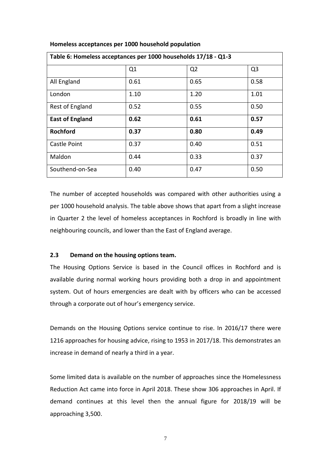| Table 6: Homeless acceptances per 1000 households 17/18 - Q1-3 |      |                |                |  |  |  |
|----------------------------------------------------------------|------|----------------|----------------|--|--|--|
|                                                                | Q1   | Q <sub>2</sub> | Q <sub>3</sub> |  |  |  |
| All England                                                    | 0.61 | 0.65           | 0.58           |  |  |  |
| London                                                         | 1.10 | 1.20           | 1.01           |  |  |  |
| Rest of England                                                | 0.52 | 0.55           | 0.50           |  |  |  |
| <b>East of England</b>                                         | 0.62 | 0.61           | 0.57           |  |  |  |
| <b>Rochford</b>                                                | 0.37 | 0.80           | 0.49           |  |  |  |
| Castle Point                                                   | 0.37 | 0.40           | 0.51           |  |  |  |
| Maldon                                                         | 0.44 | 0.33           | 0.37           |  |  |  |
| Southend-on-Sea                                                | 0.40 | 0.47           | 0.50           |  |  |  |

# **Homeless acceptances per 1000 household population**

The number of accepted households was compared with other authorities using a per 1000 household analysis. The table above shows that apart from a slight increase in Quarter 2 the level of homeless acceptances in Rochford is broadly in line with neighbouring councils, and lower than the East of England average.

# **2.3 Demand on the housing options team.**

The Housing Options Service is based in the Council offices in Rochford and is available during normal working hours providing both a drop in and appointment system. Out of hours emergencies are dealt with by officers who can be accessed through a corporate out of hour's emergency service.

Demands on the Housing Options service continue to rise. In 2016/17 there were 1216 approaches for housing advice, rising to 1953 in 2017/18. This demonstrates an increase in demand of nearly a third in a year.

Some limited data is available on the number of approaches since the Homelessness Reduction Act came into force in April 2018. These show 306 approaches in April. If demand continues at this level then the annual figure for 2018/19 will be approaching 3,500.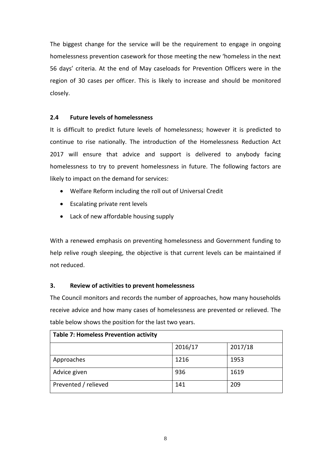The biggest change for the service will be the requirement to engage in ongoing homelessness prevention casework for those meeting the new 'homeless in the next 56 days' criteria. At the end of May caseloads for Prevention Officers were in the region of 30 cases per officer. This is likely to increase and should be monitored closely.

# **2.4 Future levels of homelessness**

It is difficult to predict future levels of homelessness; however it is predicted to continue to rise nationally. The introduction of the Homelessness Reduction Act 2017 will ensure that advice and support is delivered to anybody facing homelessness to try to prevent homelessness in future. The following factors are likely to impact on the demand for services:

- Welfare Reform including the roll out of Universal Credit
- Escalating private rent levels
- Lack of new affordable housing supply

With a renewed emphasis on preventing homelessness and Government funding to help relive rough sleeping, the objective is that current levels can be maintained if not reduced.

# **3. Review of activities to prevent homelessness**

The Council monitors and records the number of approaches, how many households receive advice and how many cases of homelessness are prevented or relieved. The table below shows the position for the last two years.

| <b>Table 7: Homeless Prevention activity</b> |         |         |  |  |  |
|----------------------------------------------|---------|---------|--|--|--|
|                                              | 2016/17 | 2017/18 |  |  |  |
| Approaches                                   | 1216    | 1953    |  |  |  |
| Advice given                                 | 936     | 1619    |  |  |  |
| Prevented / relieved                         | 141     | 209     |  |  |  |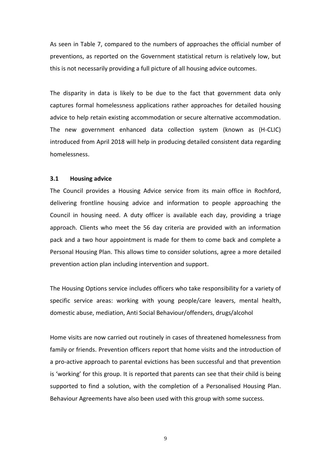As seen in Table 7, compared to the numbers of approaches the official number of preventions, as reported on the Government statistical return is relatively low, but this is not necessarily providing a full picture of all housing advice outcomes.

The disparity in data is likely to be due to the fact that government data only captures formal homelessness applications rather approaches for detailed housing advice to help retain existing accommodation or secure alternative accommodation. The new government enhanced data collection system (known as (H-CLIC) introduced from April 2018 will help in producing detailed consistent data regarding homelessness.

## **3.1 Housing advice**

The Council provides a Housing Advice service from its main office in Rochford, delivering frontline housing advice and information to people approaching the Council in housing need. A duty officer is available each day, providing a triage approach. Clients who meet the 56 day criteria are provided with an information pack and a two hour appointment is made for them to come back and complete a Personal Housing Plan. This allows time to consider solutions, agree a more detailed prevention action plan including intervention and support.

The Housing Options service includes officers who take responsibility for a variety of specific service areas: working with young people/care leavers, mental health, domestic abuse, mediation, Anti Social Behaviour/offenders, drugs/alcohol

Home visits are now carried out routinely in cases of threatened homelessness from family or friends. Prevention officers report that home visits and the introduction of a pro-active approach to parental evictions has been successful and that prevention is 'working' for this group. It is reported that parents can see that their child is being supported to find a solution, with the completion of a Personalised Housing Plan. Behaviour Agreements have also been used with this group with some success.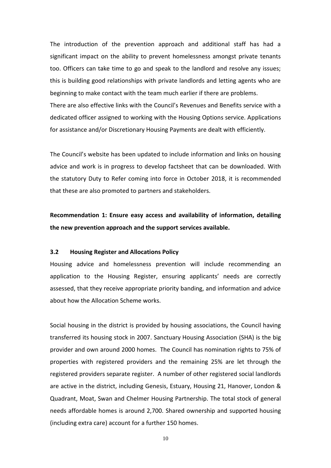The introduction of the prevention approach and additional staff has had a significant impact on the ability to prevent homelessness amongst private tenants too. Officers can take time to go and speak to the landlord and resolve any issues; this is building good relationships with private landlords and letting agents who are beginning to make contact with the team much earlier if there are problems. There are also effective links with the Council's Revenues and Benefits service with a

dedicated officer assigned to working with the Housing Options service. Applications for assistance and/or Discretionary Housing Payments are dealt with efficiently.

The Council's website has been updated to include information and links on housing advice and work is in progress to develop factsheet that can be downloaded. With the statutory Duty to Refer coming into force in October 2018, it is recommended that these are also promoted to partners and stakeholders.

**Recommendation 1: Ensure easy access and availability of information, detailing the new prevention approach and the support services available.** 

## **3.2 Housing Register and Allocations Policy**

Housing advice and homelessness prevention will include recommending an application to the Housing Register, ensuring applicants' needs are correctly assessed, that they receive appropriate priority banding, and information and advice about how the Allocation Scheme works.

Social housing in the district is provided by housing associations, the Council having transferred its housing stock in 2007. Sanctuary Housing Association (SHA) is the big provider and own around 2000 homes. The Council has nomination rights to 75% of properties with registered providers and the remaining 25% are let through the registered providers separate register. A number of other registered social landlords are active in the district, including Genesis, Estuary, Housing 21, Hanover, London & Quadrant, Moat, Swan and Chelmer Housing Partnership. The total stock of general needs affordable homes is around 2,700. Shared ownership and supported housing (including extra care) account for a further 150 homes.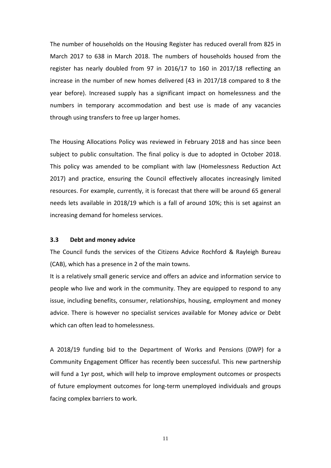The number of households on the Housing Register has reduced overall from 825 in March 2017 to 638 in March 2018. The numbers of households housed from the register has nearly doubled from 97 in 2016/17 to 160 in 2017/18 reflecting an increase in the number of new homes delivered (43 in 2017/18 compared to 8 the year before). Increased supply has a significant impact on homelessness and the numbers in temporary accommodation and best use is made of any vacancies through using transfers to free up larger homes.

The Housing Allocations Policy was reviewed in February 2018 and has since been subject to public consultation. The final policy is due to adopted in October 2018. This policy was amended to be compliant with law (Homelessness Reduction Act 2017) and practice, ensuring the Council effectively allocates increasingly limited resources. For example, currently, it is forecast that there will be around 65 general needs lets available in 2018/19 which is a fall of around 10%; this is set against an increasing demand for homeless services.

## **3.3 Debt and money advice**

The Council funds the services of the Citizens Advice Rochford & Rayleigh Bureau (CAB), which has a presence in 2 of the main towns.

It is a relatively small generic service and offers an advice and information service to people who live and work in the community. They are equipped to respond to any issue, including benefits, consumer, relationships, housing, employment and money advice. There is however no specialist services available for Money advice or Debt which can often lead to homelessness.

A 2018/19 funding bid to the Department of Works and Pensions (DWP) for a Community Engagement Officer has recently been successful. This new partnership will fund a 1yr post, which will help to improve employment outcomes or prospects of future employment outcomes for long-term unemployed individuals and groups facing complex barriers to work.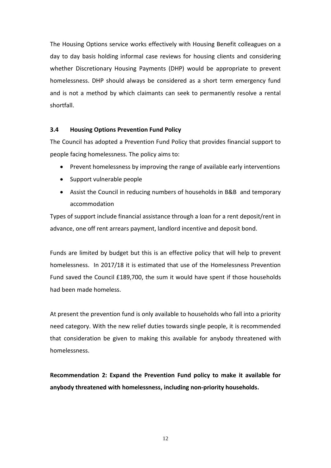The Housing Options service works effectively with Housing Benefit colleagues on a day to day basis holding informal case reviews for housing clients and considering whether Discretionary Housing Payments (DHP) would be appropriate to prevent homelessness. DHP should always be considered as a short term emergency fund and is not a method by which claimants can seek to permanently resolve a rental shortfall.

# **3.4 Housing Options Prevention Fund Policy**

The Council has adopted a Prevention Fund Policy that provides financial support to people facing homelessness. The policy aims to:

- Prevent homelessness by improving the range of available early interventions
- Support vulnerable people
- Assist the Council in reducing numbers of households in B&B and temporary accommodation

Types of support include financial assistance through a loan for a rent deposit/rent in advance, one off rent arrears payment, landlord incentive and deposit bond.

Funds are limited by budget but this is an effective policy that will help to prevent homelessness. In 2017/18 it is estimated that use of the Homelessness Prevention Fund saved the Council £189,700, the sum it would have spent if those households had been made homeless.

At present the prevention fund is only available to households who fall into a priority need category. With the new relief duties towards single people, it is recommended that consideration be given to making this available for anybody threatened with homelessness.

**Recommendation 2: Expand the Prevention Fund policy to make it available for anybody threatened with homelessness, including non-priority households.**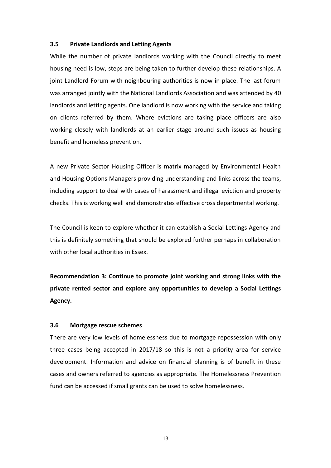## **3.5 Private Landlords and Letting Agents**

While the number of private landlords working with the Council directly to meet housing need is low, steps are being taken to further develop these relationships. A joint Landlord Forum with neighbouring authorities is now in place. The last forum was arranged jointly with the National Landlords Association and was attended by 40 landlords and letting agents. One landlord is now working with the service and taking on clients referred by them. Where evictions are taking place officers are also working closely with landlords at an earlier stage around such issues as housing benefit and homeless prevention.

A new Private Sector Housing Officer is matrix managed by Environmental Health and Housing Options Managers providing understanding and links across the teams, including support to deal with cases of harassment and illegal eviction and property checks. This is working well and demonstrates effective cross departmental working.

The Council is keen to explore whether it can establish a Social Lettings Agency and this is definitely something that should be explored further perhaps in collaboration with other local authorities in Essex.

**Recommendation 3: Continue to promote joint working and strong links with the private rented sector and explore any opportunities to develop a Social Lettings Agency.** 

## **3.6 Mortgage rescue schemes**

There are very low levels of homelessness due to mortgage repossession with only three cases being accepted in 2017/18 so this is not a priority area for service development. Information and advice on financial planning is of benefit in these cases and owners referred to agencies as appropriate. The Homelessness Prevention fund can be accessed if small grants can be used to solve homelessness.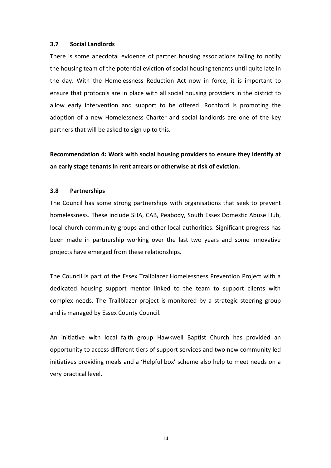## **3.7 Social Landlords**

There is some anecdotal evidence of partner housing associations failing to notify the housing team of the potential eviction of social housing tenants until quite late in the day. With the Homelessness Reduction Act now in force, it is important to ensure that protocols are in place with all social housing providers in the district to allow early intervention and support to be offered. Rochford is promoting the adoption of a new Homelessness Charter and social landlords are one of the key partners that will be asked to sign up to this.

**Recommendation 4: Work with social housing providers to ensure they identify at an early stage tenants in rent arrears or otherwise at risk of eviction.** 

## **3.8 Partnerships**

The Council has some strong partnerships with organisations that seek to prevent homelessness. These include SHA, CAB, Peabody, South Essex Domestic Abuse Hub, local church community groups and other local authorities. Significant progress has been made in partnership working over the last two years and some innovative projects have emerged from these relationships.

The Council is part of the Essex Trailblazer Homelessness Prevention Project with a dedicated housing support mentor linked to the team to support clients with complex needs. The Trailblazer project is monitored by a strategic steering group and is managed by Essex County Council.

An initiative with local faith group Hawkwell Baptist Church has provided an opportunity to access different tiers of support services and two new community led initiatives providing meals and a 'Helpful box' scheme also help to meet needs on a very practical level.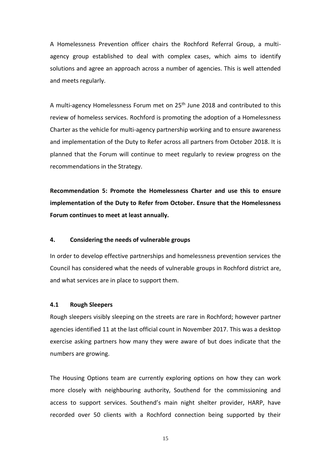A Homelessness Prevention officer chairs the Rochford Referral Group, a multiagency group established to deal with complex cases, which aims to identify solutions and agree an approach across a number of agencies. This is well attended and meets regularly.

A multi-agency Homelessness Forum met on 25<sup>th</sup> June 2018 and contributed to this review of homeless services. Rochford is promoting the adoption of a Homelessness Charter as the vehicle for multi-agency partnership working and to ensure awareness and implementation of the Duty to Refer across all partners from October 2018. It is planned that the Forum will continue to meet regularly to review progress on the recommendations in the Strategy.

**Recommendation 5: Promote the Homelessness Charter and use this to ensure implementation of the Duty to Refer from October. Ensure that the Homelessness Forum continues to meet at least annually.** 

## **4. Considering the needs of vulnerable groups**

In order to develop effective partnerships and homelessness prevention services the Council has considered what the needs of vulnerable groups in Rochford district are, and what services are in place to support them.

## **4.1 Rough Sleepers**

Rough sleepers visibly sleeping on the streets are rare in Rochford; however partner agencies identified 11 at the last official count in November 2017. This was a desktop exercise asking partners how many they were aware of but does indicate that the numbers are growing.

The Housing Options team are currently exploring options on how they can work more closely with neighbouring authority, Southend for the commissioning and access to support services. Southend's main night shelter provider, HARP, have recorded over 50 clients with a Rochford connection being supported by their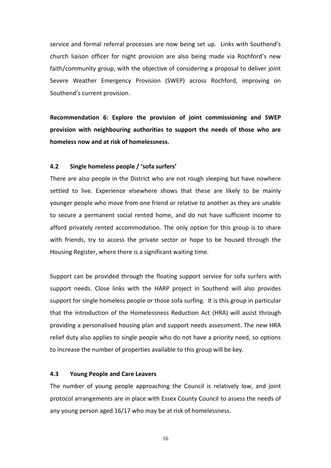service and formal referral processes are now being set up. Links with Southend's church liaison officer for night provision are also being made via Rochford's new faith/community group, with the objective of considering a proposal to deliver joint Severe Weather Emergency Provision (SWEP) across Rochford, improving on Southend's current provision.

**Recommendation 6: Explore the provision of joint commissioning and SWEP provision with neighbouring authorities to support the needs of those who are homeless now and at risk of homelessness.**

#### **4.2 Single homeless people / 'sofa surfers'**

There are also people in the District who are not rough sleeping but have nowhere settled to live. Experience elsewhere shows that these are likely to be mainly younger people who move from one friend or relative to another as they are unable to secure a permanent social rented home, and do not have sufficient income to afford privately rented accommodation. The only option for this group is to share with friends, try to access the private sector or hope to be housed through the Housing Register, where there is a significant waiting time.

Support can be provided through the floating support service for sofa surfers with support needs. Close links with the HARP project in Southend will also provides support for single homeless people or those sofa surfing. It is this group in particular that the introduction of the Homelessness Reduction Act (HRA) will assist through providing a personalised housing plan and support needs assessment. The new HRA relief duty also applies to single people who do not have a priority need, so options to increase the number of properties available to this group will be key.

## **4.3 Young People and Care Leavers**

The number of young people approaching the Council is relatively low, and joint protocol arrangements are in place with Essex County Council to assess the needs of any young person aged 16/17 who may be at risk of homelessness.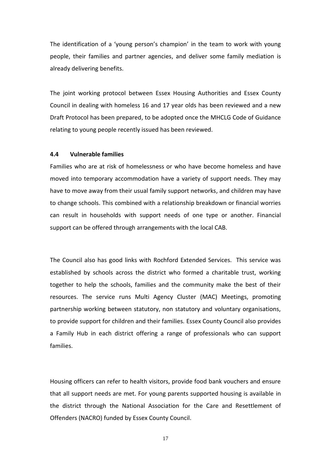The identification of a 'young person's champion' in the team to work with young people, their families and partner agencies, and deliver some family mediation is already delivering benefits.

The joint working protocol between Essex Housing Authorities and Essex County Council in dealing with homeless 16 and 17 year olds has been reviewed and a new Draft Protocol has been prepared, to be adopted once the MHCLG Code of Guidance relating to young people recently issued has been reviewed.

## **4.4 Vulnerable families**

Families who are at risk of homelessness or who have become homeless and have moved into temporary accommodation have a variety of support needs. They may have to move away from their usual family support networks, and children may have to change schools. This combined with a relationship breakdown or financial worries can result in households with support needs of one type or another. Financial support can be offered through arrangements with the local CAB.

The Council also has good links with Rochford Extended Services. This service was established by schools across the district who formed a charitable trust, working together to help the schools, families and the community make the best of their resources. The service runs Multi Agency Cluster (MAC) Meetings, promoting partnership working between statutory, non statutory and voluntary organisations, to provide support for children and their families. Essex County Council also provides a Family Hub in each district offering a range of professionals who can support families.

Housing officers can refer to health visitors, provide food bank vouchers and ensure that all support needs are met. For young parents supported housing is available in the district through the National Association for the Care and Resettlement of Offenders (NACRO) funded by Essex County Council.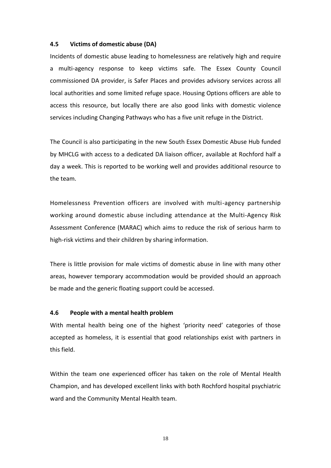## **4.5 Victims of domestic abuse (DA)**

Incidents of domestic abuse leading to homelessness are relatively high and require a multi-agency response to keep victims safe. The Essex County Council commissioned DA provider, is Safer Places and provides advisory services across all local authorities and some limited refuge space. Housing Options officers are able to access this resource, but locally there are also good links with domestic violence services including Changing Pathways who has a five unit refuge in the District.

The Council is also participating in the new South Essex Domestic Abuse Hub funded by MHCLG with access to a dedicated DA liaison officer, available at Rochford half a day a week. This is reported to be working well and provides additional resource to the team.

Homelessness Prevention officers are involved with multi-agency partnership working around domestic abuse including attendance at the Multi-Agency Risk Assessment Conference (MARAC) which aims to reduce the risk of serious harm to high-risk victims and their children by sharing information.

There is little provision for male victims of domestic abuse in line with many other areas, however temporary accommodation would be provided should an approach be made and the generic floating support could be accessed.

#### **4.6 People with a mental health problem**

With mental health being one of the highest 'priority need' categories of those accepted as homeless, it is essential that good relationships exist with partners in this field.

Within the team one experienced officer has taken on the role of Mental Health Champion, and has developed excellent links with both Rochford hospital psychiatric ward and the Community Mental Health team.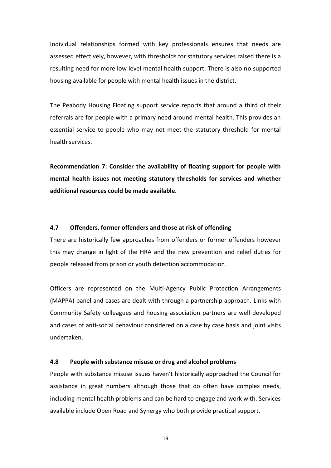Individual relationships formed with key professionals ensures that needs are assessed effectively, however, with thresholds for statutory services raised there is a resulting need for more low level mental health support. There is also no supported housing available for people with mental health issues in the district.

The Peabody Housing Floating support service reports that around a third of their referrals are for people with a primary need around mental health. This provides an essential service to people who may not meet the statutory threshold for mental health services.

**Recommendation 7: Consider the availability of floating support for people with mental health issues not meeting statutory thresholds for services and whether additional resources could be made available.** 

## **4.7 Offenders, former offenders and those at risk of offending**

There are historically few approaches from offenders or former offenders however this may change in light of the HRA and the new prevention and relief duties for people released from prison or youth detention accommodation.

Officers are represented on the Multi-Agency Public Protection Arrangements (MAPPA) panel and cases are dealt with through a partnership approach. Links with Community Safety colleagues and housing association partners are well developed and cases of anti-social behaviour considered on a case by case basis and joint visits undertaken.

# **4.8 People with substance misuse or drug and alcohol problems**

People with substance misuse issues haven't historically approached the Council for assistance in great numbers although those that do often have complex needs, including mental health problems and can be hard to engage and work with. Services available include Open Road and Synergy who both provide practical support.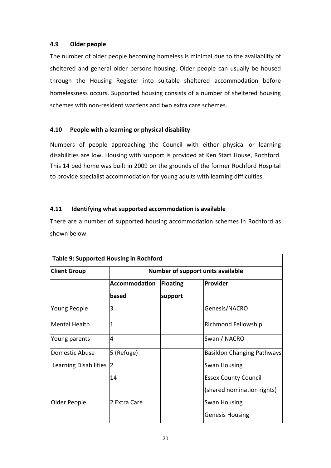# **4.9 Older people**

The number of older people becoming homeless is minimal due to the availability of sheltered and general older persons housing. Older people can usually be housed through the Housing Register into suitable sheltered accommodation before homelessness occurs. Supported housing consists of a number of sheltered housing schemes with non-resident wardens and two extra care schemes.

# **4.10 People with a learning or physical disability**

Numbers of people approaching the Council with either physical or learning disabilities are low. Housing with support is provided at Ken Start House, Rochford. This 14 bed home was built in 2009 on the grounds of the former Rochford Hospital to provide specialist accommodation for young adults with learning difficulties.

# **4.11 Identifying what supported accommodation is available**

There are a number of supported housing accommodation schemes in Rochford as shown below:

| <b>Table 9: Supported Housing in Rochford</b> |                                   |          |                                   |  |  |  |  |
|-----------------------------------------------|-----------------------------------|----------|-----------------------------------|--|--|--|--|
| <b>Client Group</b>                           | Number of support units available |          |                                   |  |  |  |  |
|                                               | <b>Accommodation</b>              | Floating | Provider                          |  |  |  |  |
|                                               | based                             | support  |                                   |  |  |  |  |
| Young People                                  | 3                                 |          | Genesis/NACRO                     |  |  |  |  |
| Mental Health                                 | $\overline{1}$                    |          | Richmond Fellowship               |  |  |  |  |
| Young parents                                 | $\overline{4}$                    |          | Swan / NACRO                      |  |  |  |  |
| Domestic Abuse                                | 5 (Refuge)                        |          | <b>Basildon Changing Pathways</b> |  |  |  |  |
| Learning Disabilities                         | $\overline{2}$                    |          | Swan Housing                      |  |  |  |  |
|                                               | 14                                |          | <b>Essex County Council</b>       |  |  |  |  |
|                                               |                                   |          | (shared nomination rights)        |  |  |  |  |
| Older People                                  | 2 Extra Care                      |          | <b>Swan Housing</b>               |  |  |  |  |
|                                               |                                   |          | <b>Genesis Housing</b>            |  |  |  |  |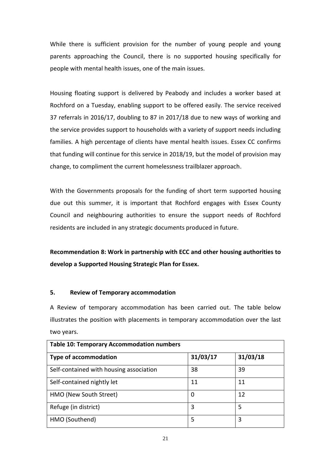While there is sufficient provision for the number of young people and young parents approaching the Council, there is no supported housing specifically for people with mental health issues, one of the main issues.

Housing floating support is delivered by Peabody and includes a worker based at Rochford on a Tuesday, enabling support to be offered easily. The service received 37 referrals in 2016/17, doubling to 87 in 2017/18 due to new ways of working and the service provides support to households with a variety of support needs including families. A high percentage of clients have mental health issues. Essex CC confirms that funding will continue for this service in 2018/19, but the model of provision may change, to compliment the current homelessness trailblazer approach.

With the Governments proposals for the funding of short term supported housing due out this summer, it is important that Rochford engages with Essex County Council and neighbouring authorities to ensure the support needs of Rochford residents are included in any strategic documents produced in future.

**Recommendation 8: Work in partnership with ECC and other housing authorities to develop a Supported Housing Strategic Plan for Essex.**

# **5. Review of Temporary accommodation**

A Review of temporary accommodation has been carried out. The table below illustrates the position with placements in temporary accommodation over the last two years.

| <b>Table 10: Temporary Accommodation numbers</b> |          |          |  |  |  |
|--------------------------------------------------|----------|----------|--|--|--|
| <b>Type of accommodation</b>                     | 31/03/17 | 31/03/18 |  |  |  |
| Self-contained with housing association          | 38       | 39       |  |  |  |
| Self-contained nightly let                       | 11       | 11       |  |  |  |
| HMO (New South Street)                           | 0        | 12       |  |  |  |
| Refuge (in district)                             | 3        | 5        |  |  |  |
| HMO (Southend)                                   | 5        | 3        |  |  |  |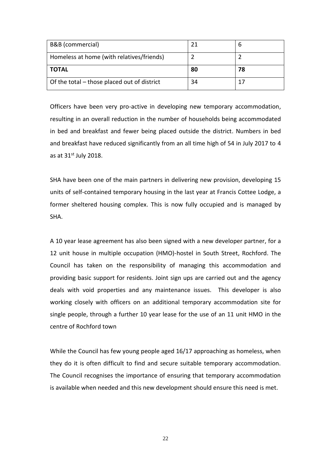| B&B (commercial)                            | 21 |    |
|---------------------------------------------|----|----|
| Homeless at home (with relatives/friends)   |    |    |
| <b>TOTAL</b>                                | 80 | 78 |
| Of the total - those placed out of district | 34 |    |

Officers have been very pro-active in developing new temporary accommodation, resulting in an overall reduction in the number of households being accommodated in bed and breakfast and fewer being placed outside the district. Numbers in bed and breakfast have reduced significantly from an all time high of 54 in July 2017 to 4 as at  $31<sup>st</sup>$  July 2018.

SHA have been one of the main partners in delivering new provision, developing 15 units of self-contained temporary housing in the last year at Francis Cottee Lodge, a former sheltered housing complex. This is now fully occupied and is managed by SHA.

A 10 year lease agreement has also been signed with a new developer partner, for a 12 unit house in multiple occupation (HMO)-hostel in South Street, Rochford. The Council has taken on the responsibility of managing this accommodation and providing basic support for residents. Joint sign ups are carried out and the agency deals with void properties and any maintenance issues. This developer is also working closely with officers on an additional temporary accommodation site for single people, through a further 10 year lease for the use of an 11 unit HMO in the centre of Rochford town

While the Council has few young people aged 16/17 approaching as homeless, when they do it is often difficult to find and secure suitable temporary accommodation. The Council recognises the importance of ensuring that temporary accommodation is available when needed and this new development should ensure this need is met.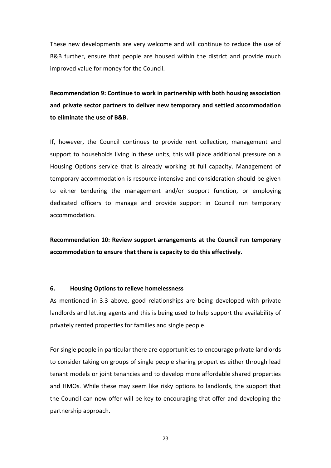These new developments are very welcome and will continue to reduce the use of B&B further, ensure that people are housed within the district and provide much improved value for money for the Council.

**Recommendation 9: Continue to work in partnership with both housing association and private sector partners to deliver new temporary and settled accommodation to eliminate the use of B&B.** 

If, however, the Council continues to provide rent collection, management and support to households living in these units, this will place additional pressure on a Housing Options service that is already working at full capacity. Management of temporary accommodation is resource intensive and consideration should be given to either tendering the management and/or support function, or employing dedicated officers to manage and provide support in Council run temporary accommodation.

**Recommendation 10: Review support arrangements at the Council run temporary accommodation to ensure that there is capacity to do this effectively.** 

# **6. Housing Options to relieve homelessness**

As mentioned in 3.3 above, good relationships are being developed with private landlords and letting agents and this is being used to help support the availability of privately rented properties for families and single people.

For single people in particular there are opportunities to encourage private landlords to consider taking on groups of single people sharing properties either through lead tenant models or joint tenancies and to develop more affordable shared properties and HMOs. While these may seem like risky options to landlords, the support that the Council can now offer will be key to encouraging that offer and developing the partnership approach.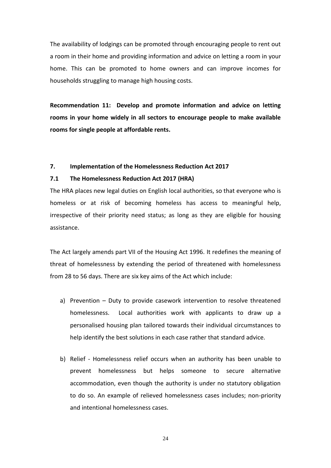The availability of lodgings can be promoted through encouraging people to rent out a room in their home and providing information and advice on letting a room in your home. This can be promoted to home owners and can improve incomes for households struggling to manage high housing costs.

**Recommendation 11: Develop and promote information and advice on letting rooms in your home widely in all sectors to encourage people to make available rooms for single people at affordable rents.** 

#### **7. Implementation of the Homelessness Reduction Act 2017**

# **7.1 The Homelessness Reduction Act 2017 (HRA)**

The HRA places new legal duties on English local authorities, so that everyone who is homeless or at risk of becoming homeless has access to meaningful help, irrespective of their priority need status; as long as they are eligible for housing assistance.

The Act largely amends part VII of the Housing Act 1996. It redefines the meaning of threat of homelessness by extending the period of threatened with homelessness from 28 to 56 days. There are six key aims of the Act which include:

- a) Prevention Duty to provide casework intervention to resolve threatened homelessness. Local authorities work with applicants to draw up a personalised housing plan tailored towards their individual circumstances to help identify the best solutions in each case rather that standard advice.
- b) Relief Homelessness relief occurs when an authority has been unable to prevent homelessness but helps someone to secure alternative accommodation, even though the authority is under no statutory obligation to do so. An example of relieved homelessness cases includes; non-priority and intentional homelessness cases.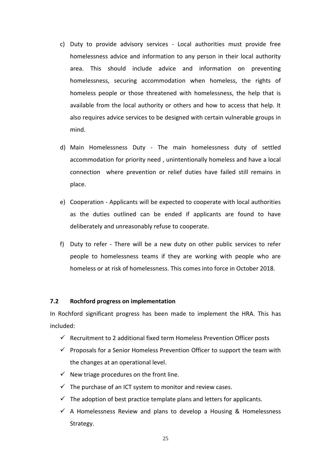- c) Duty to provide advisory services Local authorities must provide free homelessness advice and information to any person in their local authority area. This should include advice and information on preventing homelessness, securing accommodation when homeless, the rights of homeless people or those threatened with homelessness, the help that is available from the local authority or others and how to access that help. It also requires advice services to be designed with certain vulnerable groups in mind.
- d) Main Homelessness Duty The main homelessness duty of settled accommodation for priority need , unintentionally homeless and have a local connection where prevention or relief duties have failed still remains in place.
- e) Cooperation Applicants will be expected to cooperate with local authorities as the duties outlined can be ended if applicants are found to have deliberately and unreasonably refuse to cooperate.
- f) Duty to refer There will be a new duty on other public services to refer people to homelessness teams if they are working with people who are homeless or at risk of homelessness. This comes into force in October 2018.

## **7.2 Rochford progress on implementation**

In Rochford significant progress has been made to implement the HRA. This has included:

- $\checkmark$  Recruitment to 2 additional fixed term Homeless Prevention Officer posts
- $\checkmark$  Proposals for a Senior Homeless Prevention Officer to support the team with the changes at an operational level.
- $\checkmark$  New triage procedures on the front line.
- $\checkmark$  The purchase of an ICT system to monitor and review cases.
- $\checkmark$  The adoption of best practice template plans and letters for applicants.
- $\checkmark$  A Homelessness Review and plans to develop a Housing & Homelessness Strategy.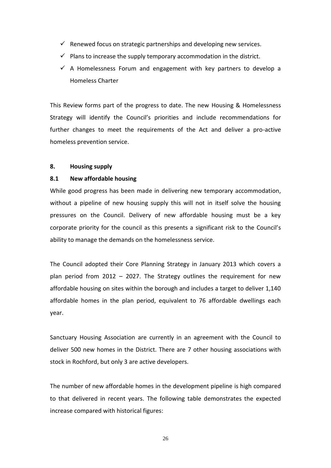- $\checkmark$  Renewed focus on strategic partnerships and developing new services.
- $\checkmark$  Plans to increase the supply temporary accommodation in the district.
- $\checkmark$  A Homelessness Forum and engagement with key partners to develop a Homeless Charter

This Review forms part of the progress to date. The new Housing & Homelessness Strategy will identify the Council's priorities and include recommendations for further changes to meet the requirements of the Act and deliver a pro-active homeless prevention service.

## **8. Housing supply**

# **8.1 New affordable housing**

While good progress has been made in delivering new temporary accommodation, without a pipeline of new housing supply this will not in itself solve the housing pressures on the Council. Delivery of new affordable housing must be a key corporate priority for the council as this presents a significant risk to the Council's ability to manage the demands on the homelessness service.

The Council adopted their Core Planning Strategy in January 2013 which covers a plan period from 2012 – 2027. The Strategy outlines the requirement for new affordable housing on sites within the borough and includes a target to deliver 1,140 affordable homes in the plan period, equivalent to 76 affordable dwellings each year.

Sanctuary Housing Association are currently in an agreement with the Council to deliver 500 new homes in the District. There are 7 other housing associations with stock in Rochford, but only 3 are active developers.

The number of new affordable homes in the development pipeline is high compared to that delivered in recent years. The following table demonstrates the expected increase compared with historical figures: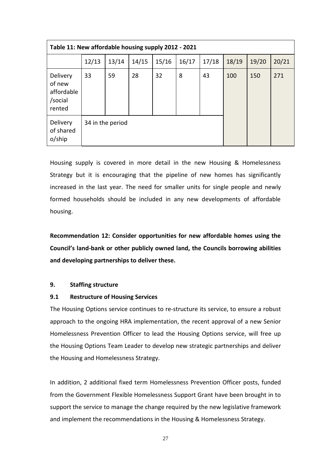| Table 11: New affordable housing supply 2012 - 2021   |                  |       |       |       |       |       |       |       |       |  |
|-------------------------------------------------------|------------------|-------|-------|-------|-------|-------|-------|-------|-------|--|
|                                                       | 12/13            | 13/14 | 14/15 | 15/16 | 16/17 | 17/18 | 18/19 | 19/20 | 20/21 |  |
| Delivery<br>of new<br>affordable<br>/social<br>rented | 33               | 59    | 28    | 32    | 8     | 43    | 100   | 150   | 271   |  |
| Delivery<br>of shared<br>o/ship                       | 34 in the period |       |       |       |       |       |       |       |       |  |

Housing supply is covered in more detail in the new Housing & Homelessness Strategy but it is encouraging that the pipeline of new homes has significantly increased in the last year. The need for smaller units for single people and newly formed households should be included in any new developments of affordable housing.

**Recommendation 12: Consider opportunities for new affordable homes using the Council's land-bank or other publicly owned land, the Councils borrowing abilities and developing partnerships to deliver these.** 

# **9. Staffing structure**

## **9.1 Restructure of Housing Services**

The Housing Options service continues to re-structure its service, to ensure a robust approach to the ongoing HRA implementation, the recent approval of a new Senior Homelessness Prevention Officer to lead the Housing Options service, will free up the Housing Options Team Leader to develop new strategic partnerships and deliver the Housing and Homelessness Strategy.

In addition, 2 additional fixed term Homelessness Prevention Officer posts, funded from the Government Flexible Homelessness Support Grant have been brought in to support the service to manage the change required by the new legislative framework and implement the recommendations in the Housing & Homelessness Strategy.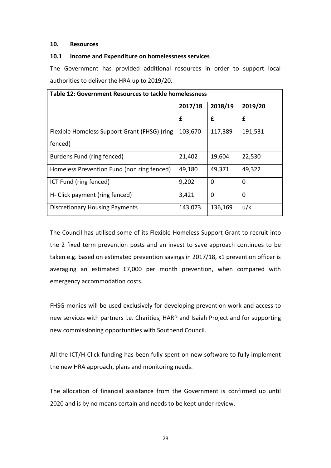# **10. Resources**

# **10.1 Income and Expenditure on homelessness services**

The Government has provided additional resources in order to support local authorities to deliver the HRA up to 2019/20.

| Table 12: Government Resources to tackle homelessness |         |         |         |
|-------------------------------------------------------|---------|---------|---------|
|                                                       | 2017/18 | 2018/19 | 2019/20 |
|                                                       | £       | £       | £       |
| Flexible Homeless Support Grant (FHSG) (ring          | 103,670 | 117,389 | 191,531 |
| fenced)                                               |         |         |         |
| Burdens Fund (ring fenced)                            | 21,402  | 19,604  | 22,530  |
| Homeless Prevention Fund (non ring fenced)            | 49,180  | 49,371  | 49,322  |
| ICT Fund (ring fenced)                                | 9,202   | 0       | 0       |
| H- Click payment (ring fenced)                        | 3,421   | 0       | 0       |
| <b>Discretionary Housing Payments</b>                 | 143,073 | 136,169 | u/k     |

The Council has utilised some of its Flexible Homeless Support Grant to recruit into the 2 fixed term prevention posts and an invest to save approach continues to be taken e.g. based on estimated prevention savings in 2017/18, x1 prevention officer is averaging an estimated £7,000 per month prevention, when compared with emergency accommodation costs.

FHSG monies will be used exclusively for developing prevention work and access to new services with partners i.e. Charities, HARP and Isaiah Project and for supporting new commissioning opportunities with Southend Council.

All the ICT/H-Click funding has been fully spent on new software to fully implement the new HRA approach, plans and monitoring needs.

The allocation of financial assistance from the Government is confirmed up until 2020 and is by no means certain and needs to be kept under review.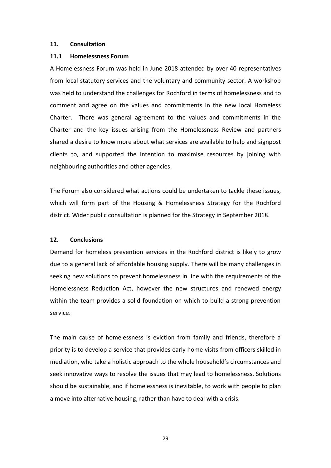### **11. Consultation**

### **11.1 Homelessness Forum**

A Homelessness Forum was held in June 2018 attended by over 40 representatives from local statutory services and the voluntary and community sector. A workshop was held to understand the challenges for Rochford in terms of homelessness and to comment and agree on the values and commitments in the new local Homeless Charter. There was general agreement to the values and commitments in the Charter and the key issues arising from the Homelessness Review and partners shared a desire to know more about what services are available to help and signpost clients to, and supported the intention to maximise resources by joining with neighbouring authorities and other agencies.

The Forum also considered what actions could be undertaken to tackle these issues, which will form part of the Housing & Homelessness Strategy for the Rochford district. Wider public consultation is planned for the Strategy in September 2018.

## **12. Conclusions**

Demand for homeless prevention services in the Rochford district is likely to grow due to a general lack of affordable housing supply. There will be many challenges in seeking new solutions to prevent homelessness in line with the requirements of the Homelessness Reduction Act, however the new structures and renewed energy within the team provides a solid foundation on which to build a strong prevention service.

The main cause of homelessness is eviction from family and friends, therefore a priority is to develop a service that provides early home visits from officers skilled in mediation, who take a holistic approach to the whole household's circumstances and seek innovative ways to resolve the issues that may lead to homelessness. Solutions should be sustainable, and if homelessness is inevitable, to work with people to plan a move into alternative housing, rather than have to deal with a crisis.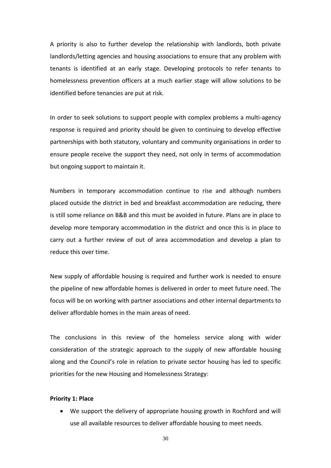A priority is also to further develop the relationship with landlords, both private landlords/letting agencies and housing associations to ensure that any problem with tenants is identified at an early stage. Developing protocols to refer tenants to homelessness prevention officers at a much earlier stage will allow solutions to be identified before tenancies are put at risk.

In order to seek solutions to support people with complex problems a multi-agency response is required and priority should be given to continuing to develop effective partnerships with both statutory, voluntary and community organisations in order to ensure people receive the support they need, not only in terms of accommodation but ongoing support to maintain it.

Numbers in temporary accommodation continue to rise and although numbers placed outside the district in bed and breakfast accommodation are reducing, there is still some reliance on B&B and this must be avoided in future. Plans are in place to develop more temporary accommodation in the district and once this is in place to carry out a further review of out of area accommodation and develop a plan to reduce this over time.

New supply of affordable housing is required and further work is needed to ensure the pipeline of new affordable homes is delivered in order to meet future need. The focus will be on working with partner associations and other internal departments to deliver affordable homes in the main areas of need.

The conclusions in this review of the homeless service along with wider consideration of the strategic approach to the supply of new affordable housing along and the Council's role in relation to private sector housing has led to specific priorities for the new Housing and Homelessness Strategy:

#### **Priority 1: Place**

• We support the delivery of appropriate housing growth in Rochford and will use all available resources to deliver affordable housing to meet needs.